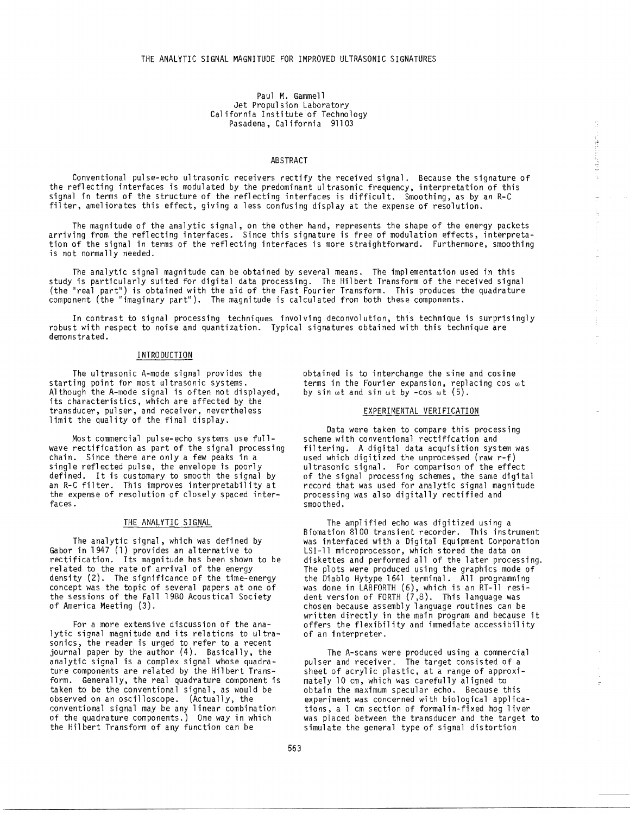#### Paul M. Gammell Jet Propulsion Laboratory California Institute of Technology Pasadena, California 91103

#### ABSTRACT

Conventional pulse-echo ultrasonic receivers rectify the received signal. Because the signature of the reflecting interfaces is modulated by the predominant ultrasonic frequency, interpretation of this signal in terms of the structure of the reflecting interfaces is difficult. Smoothing, as by an R-C filter, ameliorates this effect, giving a less confusing display at the expense of resolution.

The magnitude of the analytic signal, on the other hand, represents the shape of the energy packets arriving from the reflecting interfaces. Since this signature is free of modulation effects, interpretation of the signal in terms of the reflecting interfaces is more straightforward. Furthermore, smoothing is not normally needed.

The analytic signal magnitude can be obtained by several means. The implementation used in this study is particularly suited for digital data processing. The Hilbert Transform of the received signal (the "real part") is obtained with the aid of the Fast Fourier Transform. This produces the quadrature component (the "imaginary part"). The magnitude is calculated from both these components.

In contrast to signal processing techniques involving deconvolution, this technique is surprisingly robust with respect to noise and quantization. Typical signatures obtained with this technique are demonstrated.

## INTRODUCTION

The ultrasonic A-mode signal provides the starting point for most ultrasonic systems. Although the A-mode signal is often not displayed, its characteristics, which are affected by the transducer, pulser, and receiver, nevertheless limit the quality of the final display.

Most commercial pulse-echo systems use fullwave rectification as part of the signal processing chain. Since there are only a few peaks in a single reflected pulse, the envelope is poorly defined. It is customary to smocth the signal by an R-C filter. This improves interpretability at the expense of resolution of closely spaced interfaces.

## THE ANALYTIC SIGNAL

The analytic signal, which was defined by Gabor in 1947 (1) provides an alternative to rectification. Its magnitude has been shown to be related to the rate of arrival of the energy density (2). The significance of the time-energy concept was the topic of several papers at one of the sessions of the Fall 1980 Acoustical Society of America Meeting (3).

For a more extensive discussion of the analytic signal magnitude and its relations to ultrasonics, the reader is urged to refer to a recent journal paper by the author (4). Basically, the analytic signal is a complex signal whose quadrature components are related by the Hilbert Transform. Generally, the real quadrature component is taken to be the conventional signal, as would be observed on an oscilloscope. (Actually, the conventional signal may be any linear combination of the quadrature components.) One way in which the Hilbert Transform of any function can be

obtained is to interchange the sine and cosine terms in the Fourier expansion, replacing cos wt by sin  $\omega t$  and sin  $\omega t$  by -cos  $\omega t$  (5).

#### EXPERIMENTAL VERIFICATION

strates.

un vaur.

ţ. ļ.

Data were taken to compare this processing scheme with conventional rectification and filtering. A digital data acquisition system was used which digitized the unprocessed (raw r-f) ultrasonic signal. For comparison of the effect of the signal processing schemes, the same digital record that was used for analytic signal magnitude processing was also digitally rectified and smoothed.

The amplified echo was digitized using a Biomation 8100 transient recorder. This instrument was interfaced with a Digital Equipment Corporation LSI-11 microprocessor, which stored the data on diskettes and performed all of the later processing. The plots were produced using the graphics mode of the Diablo Hytype 1641 terminal. All programming was done in LABFORTH (6), which is an RT-11 resident version of FORTH  $(7,8)$ . This language was chosen because assembly language routines can be written directly in the main program and because it offers the flexibility and immediate accessibility of an interpreter.

The A-scans were produced using a commercial pulser and receiver. The target consisted of a sheet of acrylic plastic, at a range of approximately 10 em, which was carefully aligned to obtain the maximum specular echo. Because this experiment was concerned with biological applications, a 1 em section of formalin-fixed hog liver was placed between the transducer and the target to simulate the general type of signal distortion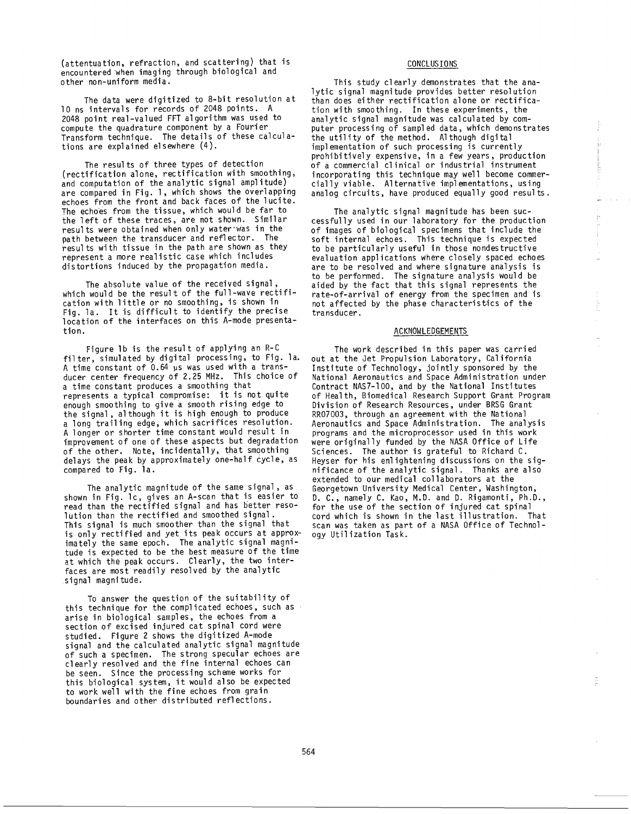(attentuation, refraction, and scattering) that is encountered when imaging through biological and other non-uniform media.

The data were digitized to 8-bit resolution at 10 ns intervals for records of 2048 points. A 2048 point real-valued FFT algorithm was used to compute the quadrature component by a Fourier Transform technique. The details of these calculations are explained elsewhere (4).

The results of three types of detection (rectification alone, rectification with smoothing, and computation of the analytic signal amplitude) are compared in Fig. 1, which shows the overlapping echoes from the front and back faces of the lucite. The echoes from the tissue, which would be far to the left of these traces, are not shown. Similar results were obtained when only water was in the path between the transducer and reflector. The results with tissue in the path are shown as they represent a more realistic case which includes distortions induced by the propagation media.

The absolute value of the received signal, which would be the result of the full-wave rectification with little or no smoothing, is shown in Fig. la. It is difficult to identify the precise location of the interfaces on this A-mode presentation.

Figure lb is the result of applying an R-C filter, simulated by digital processing, to Fig. la. A time constant of  $0.64$  us was used with a transducer center frequency of 2.25 MHz. This choice of a time constant produces a smoothing that represents a typical compromise: it is not quite enough smoothing to give a smooth rising edge to the signal, although it is high enough to produce a long trailing edge, which sacrifices resolution. A longer or shorter time constant would result in improvement of one of these aspects but degradation of the other. Note, incidentally, that smoothing delays the peak by approximately one-half cycle, as compared to fig. la.

The analytic magnitude of the same signal, as shown in Fig. lc, gives an A-scan that is easier to read than the rectified signal and has better resolution than the rectified and smoothed signal. This signal is much smoother than the signal that is only rectified and yet its peak occurs at approximately the same epoch. The analytic signal magnitude is expected to be the best measure of the time at which the peak occurs. Clearly, the two interfaces are most readily resolved by the analytic signal magnitude.

To answer the question of the suitability of this technique for the complicated echoes, such as arise in biological samples, the echoes from a section of excised injured cat spinal cord were studied. Figure 2 shows the digitized A-mode signal and the calculated analytic signal magnitude of such a specimen. The strong specular echoes are clearly resolved and the fine internal echoes can be seen. Since the processing scheme works for this biological system, it would also be expected to work well with the fine echoes from grain boundaries and other distributed reflections.

### CONCLUSIONS

This study clearly demonstrates that the analytic signal magnitude provides better resolution than does either rectification alone or rectification with smoothing. In these experiments, the analytic signal magnitude was calculated by computer processing of sampled data, which demonstrates the utility of the method. Although digital implementation of such processing is currently prohibitively expensive, in a few years, production of a commercial clinical or industrial instrument incorporating this technique may well become commercially viable. Alternative implementations, using analog circuits, have produced equally good results.

The analytic signal magnitude has been successfully used in our laboratory for the production of images of biological specimens that include the soft internal echoes. This technique is expected to be particularly useful in those nondestructive evaluation applications where closely spaced echoes are to be resolved and where signature analysis is to be performed. The signature analysis would be aided by the fact that this signal represents the rate-of-arrival of energy from the specimen and is not affected by the phase characteristics of the transducer.

#### ACKNOWLEDGEMENTS

The work described in this paper was carried out at the Jet Propulsion Laboratory, California Institute of Technology, jointly sponsored by the National Aeronautics and Space Administration under Contract NAS7-lOO, and by the National Institutes of Health, Biomedical Research Support Grant Program Division of Research Resources, under BRSG Grant RR07003, through an agreement with the National Aeronautics and Space Administration. The analysis programs and the microprocessor used in this work were originally funded by the NASA Office of Life Sciences. The author is grateful to Richard C. Heyser for his enlightening discussions on the significance of the analytic signal. Thanks are also extended to our medical collaborators at the Georgetown University Medical Center, Washington, D. C., namely C. Kao, M.D. and D. Rigamonti, Ph.D., for the use of the section of injured cat spinal cord which is shown in the last illustration. That scan was taken as part of a NASA Office of Technology Utilization Task.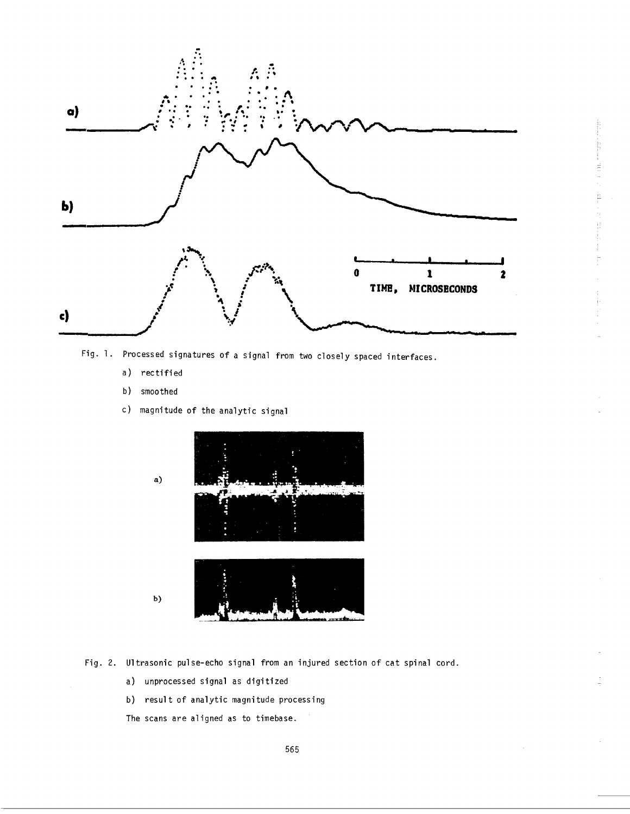

É

Fig. 1. Processed signatures of a signal from two closely spaced interfaces.

- a) rectified
- b) smoothed
- c) magnitude of the analytic signal



- Fig. 2. Ultrasonic pulse-echo signal from an injured section of cat spinal cord.
	- a) unprocessed signal as digitized
	- b) result of analytic magnitude processing

The scans are aligned as to timebase.